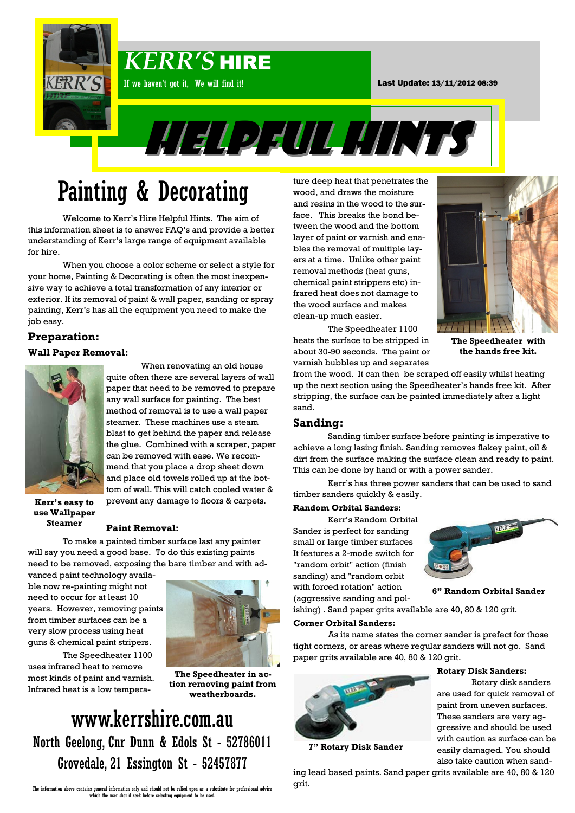

# Painting & Decorating

Welcome to Kerr's Hire Helpful Hints. The aim of this information sheet is to answer FAQ's and provide a better understanding of Kerr's large range of equipment available for hire.

When you choose a color scheme or select a style for your home, Painting & Decorating is often the most inexpensive way to achieve a total transformation of any interior or exterior. If its removal of paint & wall paper, sanding or spray painting, Kerr's has all the equipment you need to make the job easy.

## **Preparation:**

#### **Wall Paper Removal:**



When renovating an old house quite often there are several layers of wall paper that need to be removed to prepare any wall surface for painting. The best method of removal is to use a wall paper steamer. These machines use a steam blast to get behind the paper and release the glue. Combined with a scraper, paper can be removed with ease. We recommend that you place a drop sheet down and place old towels rolled up at the bottom of wall. This will catch cooled water & prevent any damage to floors & carpets.

**Kerr's easy to use Wallpaper Steamer**

#### **Paint Removal:**

To make a painted timber surface last any painter will say you need a good base. To do this existing paints need to be removed, exposing the bare timber and with ad-

vanced paint technology available now re-painting might not need to occur for at least 10 years. However, removing paints from timber surfaces can be a very slow process using heat guns & chemical paint stripers.

The Speedheater 1100 uses infrared heat to remove most kinds of paint and varnish. Infrared heat is a low tempera-



**The Speedheater in action removing paint from weatherboards.**

## www.kerrshire.com.au North Geelong, Cnr Dunn & Edols St - 52786011 Grovedale, 21 Essington St - 52457877

The information above contains general information only and should not be relied upon as a substitute for professional advice which the user should seek before selecting equipment to be used.

ture deep heat that penetrates the wood, and draws the moisture and resins in the wood to the surface. This breaks the bond between the wood and the bottom layer of paint or varnish and enables the removal of multiple layers at a time. Unlike other paint removal methods (heat guns, chemical paint strippers etc) infrared heat does not damage to the wood surface and makes clean-up much easier.



The Speedheater 1100 heats the surface to be stripped in about 30-90 seconds. The paint or varnish bubbles up and separates

**The Speedheater with the hands free kit.**

from the wood. It can then be scraped off easily whilst heating up the next section using the Speedheater's hands free kit. After stripping, the surface can be painted immediately after a light sand.

### **Sanding:**

Sanding timber surface before painting is imperative to achieve a long lasing finish. Sanding removes flakey paint, oil & dirt from the surface making the surface clean and ready to paint. This can be done by hand or with a power sander.

Kerr's has three power sanders that can be used to sand timber sanders quickly & easily.

#### **Random Orbital Sanders:**

Kerr's Random Orbital Sander is perfect for sanding small or large timber surfaces It features a 2-mode switch for "random orbit" action (finish sanding) and "random orbit with forced rotation" action (aggressive sanding and pol-



**6" Random Orbital Sander**

**Rotary Disk Sanders:**

Rotary disk sanders are used for quick removal of paint from uneven surfaces. These sanders are very aggressive and should be used with caution as surface can be easily damaged. You should

ishing) . Sand paper grits available are 40, 80 & 120 grit.

#### **Corner Orbital Sanders:**

As its name states the corner sander is prefect for those tight corners, or areas where regular sanders will not go. Sand paper grits available are 40, 80 & 120 grit.



**7" Rotary Disk Sander**

also take caution when sanding lead based paints. Sand paper grits available are 40, 80 & 120 grit.